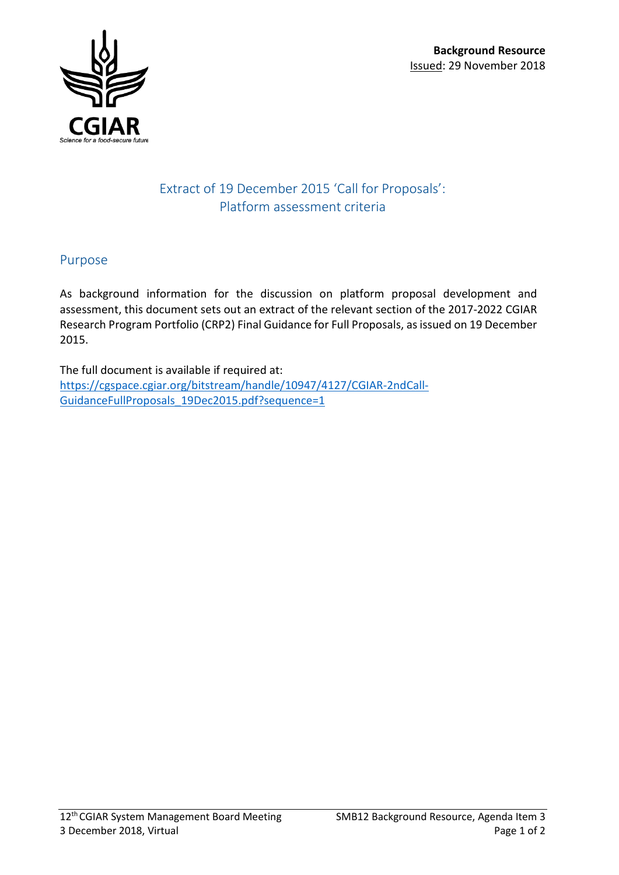

## Extract of 19 December 2015 'Call for Proposals': Platform assessment criteria

## Purpose

As background information for the discussion on platform proposal development and assessment, this document sets out an extract of the relevant section of the 2017-2022 CGIAR Research Program Portfolio (CRP2) Final Guidance for Full Proposals, as issued on 19 December 2015.

The full document is available if required at: [https://cgspace.cgiar.org/bitstream/handle/10947/4127/CGIAR-2ndCall-](https://cgspace.cgiar.org/bitstream/handle/10947/4127/CGIAR-2ndCall-GuidanceFullProposals_19Dec2015.pdf?sequence=1)[GuidanceFullProposals\\_19Dec2015.pdf?sequence=1](https://cgspace.cgiar.org/bitstream/handle/10947/4127/CGIAR-2ndCall-GuidanceFullProposals_19Dec2015.pdf?sequence=1)